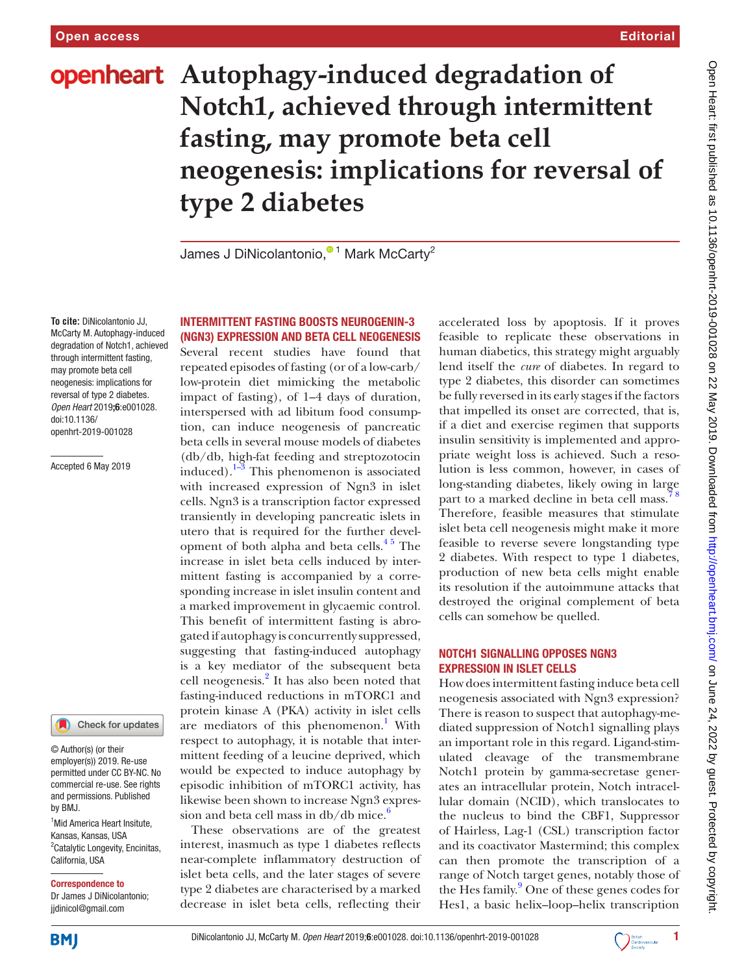# **openheart** Autophagy-induced degradation of **Notch1, achieved through intermittent fasting, may promote beta cell neogenesis: implications for reversal of type 2 diabetes**

James J DiNicolantonio[,](http://orcid.org/0000-0002-7888-1528)<sup>® 1</sup> Mark McCarty<sup>2</sup>

**To cite:** DiNicolantonio JJ, McCarty M. Autophagy-induced degradation of Notch1, achieved through intermittent fasting, may promote beta cell neogenesis: implications for reversal of type 2 diabetes*. Open Heart* 2019;6:e001028. doi:10.1136/ openhrt-2019-001028

Accepted 6 May 2019

## Check for updates

© Author(s) (or their employer(s)) 2019. Re-use permitted under CC BY-NC. No commercial re-use. See rights and permissions. Published by BMJ.

<sup>1</sup> Mid America Heart Insitute, Kansas, Kansas, USA <sup>2</sup> Catalytic Longevity, Encinitas, California, USA

#### Correspondence to

Dr James J DiNicolantonio; jjdinicol@gmail.com

# Intermittent fasting boosts neurogenin-3 (Ngn3) expression and beta cell neogenesis

Several recent studies have found that repeated episodes of fasting (or of a low-carb/ low-protein diet mimicking the metabolic impact of fasting), of 1–4 days of duration, interspersed with ad libitum food consumption, can induce neogenesis of pancreatic beta cells in several mouse models of diabetes (db/db, high-fat feeding and streptozotocin induced). $1-3$  This phenomenon is associated with increased expression of Ngn3 in islet cells. Ngn3 is a transcription factor expressed transiently in developing pancreatic islets in utero that is required for the further development of both alpha and beta cells. $45$  The increase in islet beta cells induced by intermittent fasting is accompanied by a corresponding increase in islet insulin content and a marked improvement in glycaemic control. This benefit of intermittent fasting is abrogated if autophagy is concurrently suppressed, suggesting that fasting-induced autophagy is a key mediator of the subsequent beta cell neogenesis.<sup>[2](#page-6-2)</sup> It has also been noted that fasting-induced reductions in mTORC1 and protein kinase A (PKA) activity in islet cells are mediators of this phenomenon.<sup>[1](#page-6-0)</sup> With respect to autophagy, it is notable that intermittent feeding of a leucine deprived, which would be expected to induce autophagy by episodic inhibition of mTORC1 activity, has likewise been shown to increase Ngn3 expression and beta cell mass in  $db/db$  mice.<sup>6</sup>

These observations are of the greatest interest, inasmuch as type 1 diabetes reflects near-complete inflammatory destruction of islet beta cells, and the later stages of severe type 2 diabetes are characterised by a marked decrease in islet beta cells, reflecting their

accelerated loss by apoptosis. If it proves feasible to replicate these observations in human diabetics, this strategy might arguably lend itself the *cure* of diabetes. In regard to type 2 diabetes, this disorder can sometimes be fully reversed in its early stages if the factors that impelled its onset are corrected, that is, if a diet and exercise regimen that supports insulin sensitivity is implemented and appropriate weight loss is achieved. Such a resolution is less common, however, in cases of long-standing diabetes, likely owing in large part to a marked decline in beta cell mass. $78$ Therefore, feasible measures that stimulate islet beta cell neogenesis might make it more feasible to reverse severe longstanding type 2 diabetes. With respect to type 1 diabetes, production of new beta cells might enable its resolution if the autoimmune attacks that destroyed the original complement of beta cells can somehow be quelled.

#### NOTCH1 SIGNALLING OPPOSES NGN3 expression in islet cells

How does intermittent fasting induce beta cell neogenesis associated with Ngn3 expression? There is reason to suspect that autophagy-mediated suppression of Notch1 signalling plays an important role in this regard. Ligand-stimulated cleavage of the transmembrane Notch1 protein by gamma-secretase generates an intracellular protein, Notch intracellular domain (NCID), which translocates to the nucleus to bind the CBF1, Suppressor of Hairless, Lag-1 (CSL) transcription factor and its coactivator Mastermind; this complex can then promote the transcription of a range of Notch target genes, notably those of the Hes family.<sup>[9](#page-6-5)</sup> One of these genes codes for Hes1, a basic helix–loop–helix transcription

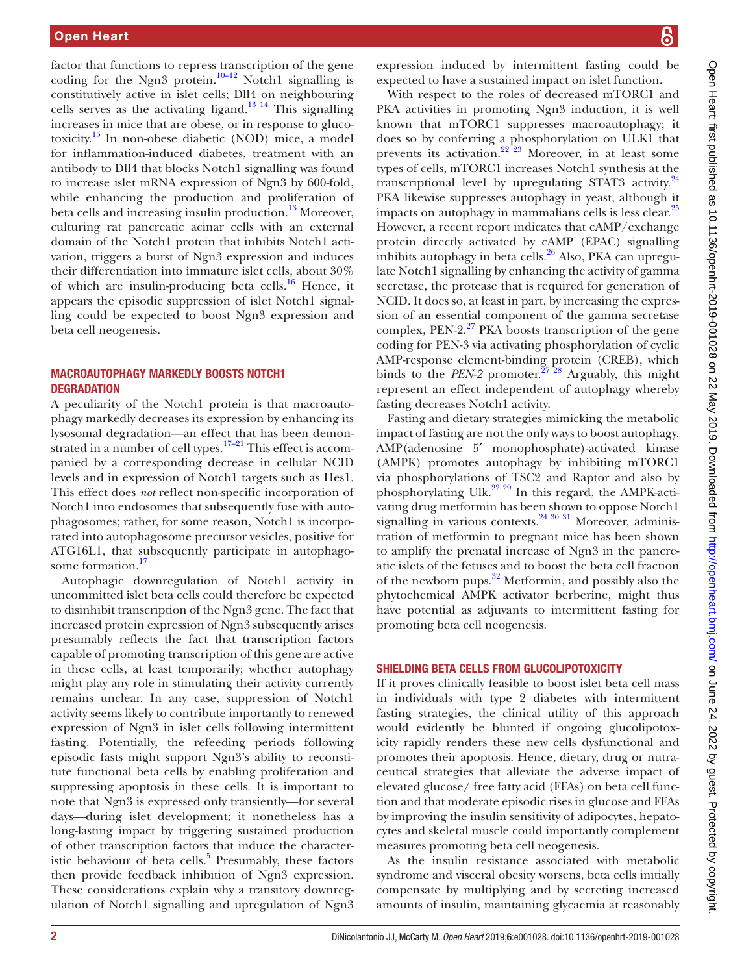factor that functions to repress transcription of the gene coding for the Ngn3 protein.<sup>10–12</sup> Notch1 signalling is constitutively active in islet cells; Dll4 on neighbouring cells serves as the activating ligand.<sup>13 14</sup> This signalling increases in mice that are obese, or in response to glucotoxicity[.15](#page-6-8) In non-obese diabetic (NOD) mice, a model for inflammation-induced diabetes, treatment with an antibody to Dll4 that blocks Notch1 signalling was found to increase islet mRNA expression of Ngn3 by 600-fold, while enhancing the production and proliferation of beta cells and increasing insulin production.<sup>13</sup> Moreover, culturing rat pancreatic acinar cells with an external domain of the Notch1 protein that inhibits Notch1 activation, triggers a burst of Ngn3 expression and induces their differentiation into immature islet cells, about 30% of which are insulin-producing beta cells.<sup>16</sup> Hence, it appears the episodic suppression of islet Notch1 signalling could be expected to boost Ngn3 expression and beta cell neogenesis.

## Macroautophagy markedly boosts Notch1 **DEGRADATION**

A peculiarity of the Notch1 protein is that macroautophagy markedly decreases its expression by enhancing its lysosomal degradation—an effect that has been demonstrated in a number of cell types. $17-21$  This effect is accompanied by a corresponding decrease in cellular NCID levels and in expression of Notch1 targets such as Hes1. This effect does *not* reflect non-specific incorporation of Notch1 into endosomes that subsequently fuse with autophagosomes; rather, for some reason, Notch1 is incorporated into autophagosome precursor vesicles, positive for ATG16L1, that subsequently participate in autophago-some formation.<sup>[17](#page-6-10)</sup>

Autophagic downregulation of Notch1 activity in uncommitted islet beta cells could therefore be expected to disinhibit transcription of the Ngn3 gene. The fact that increased protein expression of Ngn3 subsequently arises presumably reflects the fact that transcription factors capable of promoting transcription of this gene are active in these cells, at least temporarily; whether autophagy might play any role in stimulating their activity currently remains unclear. In any case, suppression of Notch1 activity seems likely to contribute importantly to renewed expression of Ngn3 in islet cells following intermittent fasting. Potentially, the refeeding periods following episodic fasts might support Ngn3's ability to reconstitute functional beta cells by enabling proliferation and suppressing apoptosis in these cells. It is important to note that Ngn3 is expressed only transiently—for several days—during islet development; it nonetheless has a long-lasting impact by triggering sustained production of other transcription factors that induce the characteristic behaviour of beta cells. $5$  Presumably, these factors then provide feedback inhibition of Ngn3 expression. These considerations explain why a transitory downregulation of Notch1 signalling and upregulation of Ngn3

expression induced by intermittent fasting could be expected to have a sustained impact on islet function.

With respect to the roles of decreased mTORC1 and PKA activities in promoting Ngn3 induction, it is well known that mTORC1 suppresses macroautophagy; it does so by conferring a phosphorylation on ULK1 that prevents its activation[.22 23](#page-6-12) Moreover, in at least some types of cells, mTORC1 increases Notch1 synthesis at the transcriptional level by upregulating STAT3 activity. $24$ PKA likewise suppresses autophagy in yeast, although it impacts on autophagy in mammalians cells is less clear.<sup>[25](#page-6-14)</sup> However, a recent report indicates that cAMP/exchange protein directly activated by cAMP (EPAC) signalling inhibits autophagy in beta cells. $^{26}$  $^{26}$  $^{26}$  Also, PKA can upregulate Notch1 signalling by enhancing the activity of gamma secretase, the protease that is required for generation of NCID. It does so, at least in part, by increasing the expression of an essential component of the gamma secretase complex,  $PEN-2.<sup>27</sup> PKA boosts transcription of the gene$  $PEN-2.<sup>27</sup> PKA boosts transcription of the gene$  $PEN-2.<sup>27</sup> PKA boosts transcription of the gene$ coding for PEN-3 via activating phosphorylation of cyclic AMP-response element-binding protein (CREB), which binds to the *PEN*-2 promoter.<sup>27 28</sup> Arguably, this might represent an effect independent of autophagy whereby fasting decreases Notch1 activity.

Fasting and dietary strategies mimicking the metabolic impact of fasting are not the only ways to boost autophagy. AMP(adenosine 5′ monophosphate)-activated kinase (AMPK) promotes autophagy by inhibiting mTORC1 via phosphorylations of TSC2 and Raptor and also by phosphorylating Ulk.[22 29](#page-6-12) In this regard, the AMPK-activating drug metformin has been shown to oppose Notch1 signalling in various contexts. $243031$  Moreover, administration of metformin to pregnant mice has been shown to amplify the prenatal increase of Ngn3 in the pancreatic islets of the fetuses and to boost the beta cell fraction of the newborn pups.<sup>32</sup> Metformin, and possibly also the phytochemical AMPK activator berberine, might thus have potential as adjuvants to intermittent fasting for promoting beta cell neogenesis.

#### Shielding beta cells from glucolipotoxicity

If it proves clinically feasible to boost islet beta cell mass in individuals with type 2 diabetes with intermittent fasting strategies, the clinical utility of this approach would evidently be blunted if ongoing glucolipotoxicity rapidly renders these new cells dysfunctional and promotes their apoptosis. Hence, dietary, drug or nutraceutical strategies that alleviate the adverse impact of elevated glucose/ free fatty acid (FFAs) on beta cell function and that moderate episodic rises in glucose and FFAs by improving the insulin sensitivity of adipocytes, hepatocytes and skeletal muscle could importantly complement measures promoting beta cell neogenesis.

As the insulin resistance associated with metabolic syndrome and visceral obesity worsens, beta cells initially compensate by multiplying and by secreting increased amounts of insulin, maintaining glycaemia at reasonably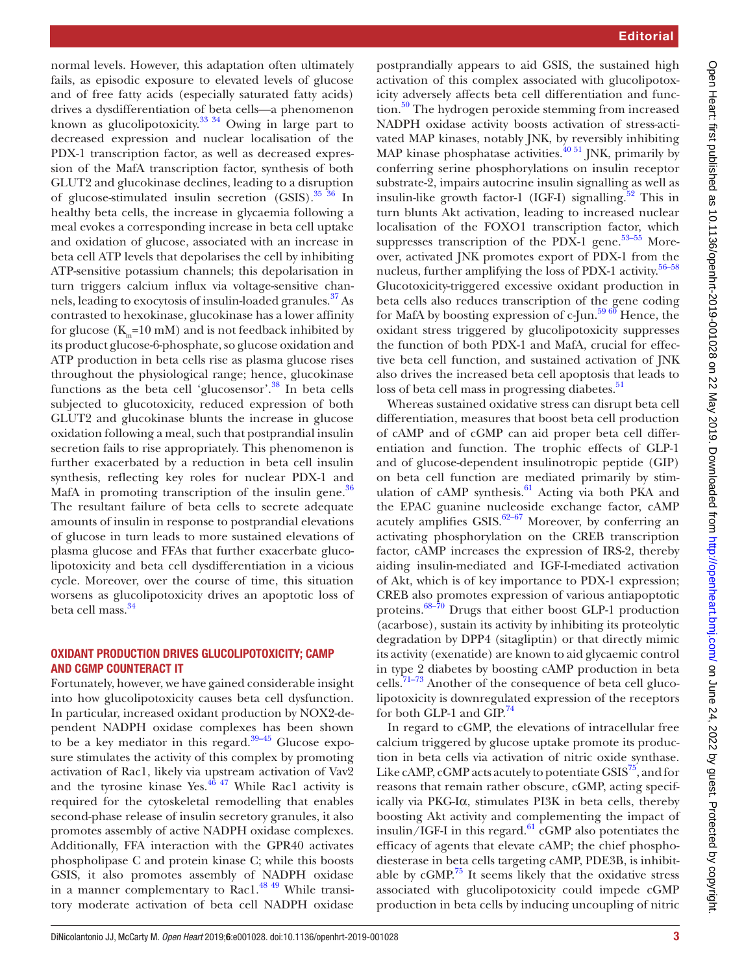normal levels. However, this adaptation often ultimately fails, as episodic exposure to elevated levels of glucose and of free fatty acids (especially saturated fatty acids) drives a dysdifferentiation of beta cells—a phenomenon known as glucolipotoxicity.<sup>33</sup> <sup>34</sup> Owing in large part to decreased expression and nuclear localisation of the PDX-1 transcription factor, as well as decreased expression of the MafA transcription factor, synthesis of both GLUT2 and glucokinase declines, leading to a disruption of glucose-stimulated insulin secretion (GSIS).<sup>35</sup> 36</sup> In healthy beta cells, the increase in glycaemia following a meal evokes a corresponding increase in beta cell uptake and oxidation of glucose, associated with an increase in beta cell ATP levels that depolarises the cell by inhibiting ATP-sensitive potassium channels; this depolarisation in turn triggers calcium influx via voltage-sensitive channels, leading to exocytosis of insulin-loaded granules.<sup>37</sup> As contrasted to hexokinase, glucokinase has a lower affinity for glucose  $(K_e=10 \text{ mM})$  and is not feedback inhibited by its product glucose-6-phosphate, so glucose oxidation and ATP production in beta cells rise as plasma glucose rises throughout the physiological range; hence, glucokinase functions as the beta cell 'glucosensor'[.38](#page-7-4) In beta cells subjected to glucotoxicity, reduced expression of both GLUT2 and glucokinase blunts the increase in glucose oxidation following a meal, such that postprandial insulin secretion fails to rise appropriately. This phenomenon is further exacerbated by a reduction in beta cell insulin synthesis, reflecting key roles for nuclear PDX-1 and MafA in promoting transcription of the insulin gene. $36$ The resultant failure of beta cells to secrete adequate amounts of insulin in response to postprandial elevations of glucose in turn leads to more sustained elevations of plasma glucose and FFAs that further exacerbate glucolipotoxicity and beta cell dysdifferentiation in a vicious cycle. Moreover, over the course of time, this situation worsens as glucolipotoxicity drives an apoptotic loss of beta cell mass.<sup>[34](#page-7-6)</sup>

#### Oxidant production drives glucolipotoxicity; cAMP and cGMP counteract it

Fortunately, however, we have gained considerable insight into how glucolipotoxicity causes beta cell dysfunction. In particular, increased oxidant production by NOX2-dependent NADPH oxidase complexes has been shown to be a key mediator in this regard. $39-45$  Glucose exposure stimulates the activity of this complex by promoting activation of Rac1, likely via upstream activation of Vav2 and the tyrosine kinase Yes. $46\frac{47}{7}$  While Rac1 activity is required for the cytoskeletal remodelling that enables second-phase release of insulin secretory granules, it also promotes assembly of active NADPH oxidase complexes. Additionally, FFA interaction with the GPR40 activates phospholipase C and protein kinase C; while this boosts GSIS, it also promotes assembly of NADPH oxidase in a manner complementary to Rac1.<sup>48 49</sup> While transitory moderate activation of beta cell NADPH oxidase

postprandially appears to aid GSIS, the sustained high activation of this complex associated with glucolipotoxicity adversely affects beta cell differentiation and func- $\frac{50}{10}$  The hydrogen peroxide stemming from increased NADPH oxidase activity boosts activation of stress-activated MAP kinases, notably JNK, by reversibly inhibiting MAP kinase phosphatase activities. $40\frac{51}{1}$  JNK, primarily by conferring serine phosphorylations on insulin receptor substrate-2, impairs autocrine insulin signalling as well as insulin-like growth factor-1 (IGF-I) signalling.<sup>52</sup> This in turn blunts Akt activation, leading to increased nuclear localisation of the FOXO1 transcription factor, which suppresses transcription of the PDX-1 gene.<sup>53–55</sup> Moreover, activated JNK promotes export of PDX-1 from the nucleus, further amplifying the loss of PDX-1 activity.<sup>56-58</sup> Glucotoxicity-triggered excessive oxidant production in beta cells also reduces transcription of the gene coding for MafA by boosting expression of  $c$ -Jun.<sup>59 60</sup> Hence, the oxidant stress triggered by glucolipotoxicity suppresses the function of both PDX-1 and MafA, crucial for effective beta cell function, and sustained activation of JNK also drives the increased beta cell apoptosis that leads to  $\cos$  of beta cell mass in progressing diabetes. $^{51}$  $^{51}$  $^{51}$ 

Whereas sustained oxidative stress can disrupt beta cell differentiation, measures that boost beta cell production of cAMP and of cGMP can aid proper beta cell differentiation and function. The trophic effects of GLP-1 and of glucose-dependent insulinotropic peptide (GIP) on beta cell function are mediated primarily by stimulation of cAMP synthesis. $61$  Acting via both PKA and the EPAC guanine nucleoside exchange factor, cAMP acutely amplifies GSIS. $62-67$  Moreover, by conferring an activating phosphorylation on the CREB transcription factor, cAMP increases the expression of IRS-2, thereby aiding insulin-mediated and IGF-I-mediated activation of Akt, which is of key importance to PDX-1 expression; CREB also promotes expression of various antiapoptotic proteins.[68–70](#page-7-19) Drugs that either boost GLP-1 production (acarbose), sustain its activity by inhibiting its proteolytic degradation by DPP4 (sitagliptin) or that directly mimic its activity (exenatide) are known to aid glycaemic control in type 2 diabetes by boosting cAMP production in beta cells[.71–73](#page-7-20) Another of the consequence of beta cell glucolipotoxicity is downregulated expression of the receptors for both GLP-1 and GIP.<sup>74</sup>

In regard to cGMP, the elevations of intracellular free calcium triggered by glucose uptake promote its production in beta cells via activation of nitric oxide synthase. Like cAMP, cGMP acts acutely to potentiate  $GSS^{\prime5}$ , and for reasons that remain rather obscure, cGMP, acting specifically via PKG-Iα, stimulates PI3K in beta cells, thereby boosting Akt activity and complementing the impact of insulin/IGF-I in this regard. $61$  cGMP also potentiates the efficacy of agents that elevate cAMP; the chief phosphodiesterase in beta cells targeting cAMP, PDE3B, is inhibitable by  $cGMP<sup>75</sup>$  It seems likely that the oxidative stress associated with glucolipotoxicity could impede cGMP production in beta cells by inducing uncoupling of nitric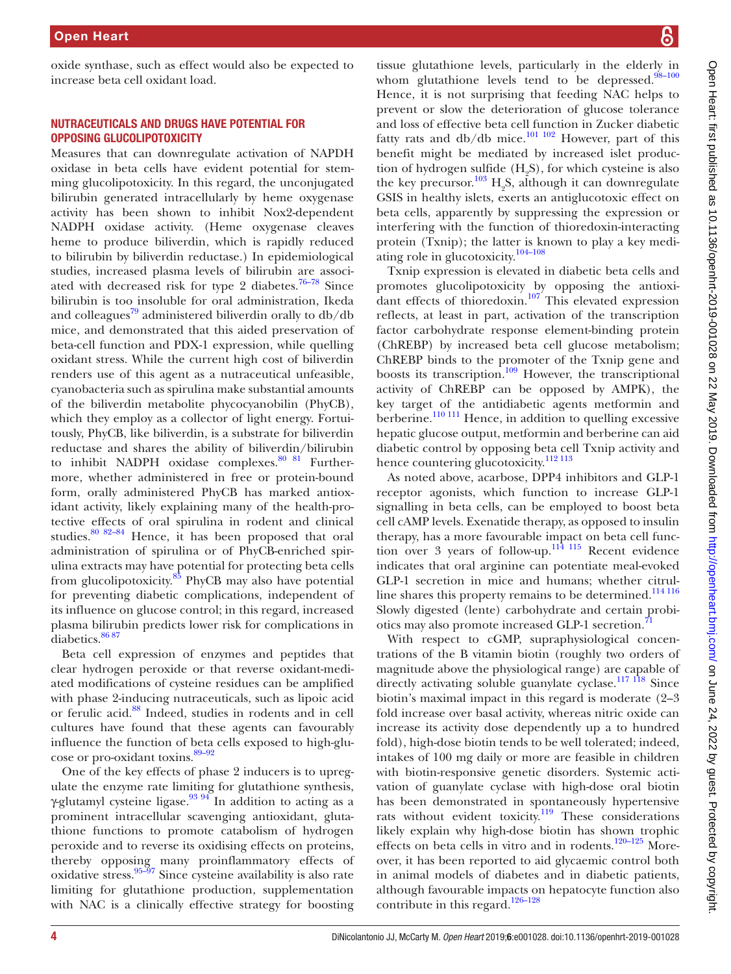oxide synthase, such as effect would also be expected to increase beta cell oxidant load.

#### Nutraceuticals and drugs have potential for opposing glucolipotoxicity

Measures that can downregulate activation of NAPDH oxidase in beta cells have evident potential for stemming glucolipotoxicity. In this regard, the unconjugated bilirubin generated intracellularly by heme oxygenase activity has been shown to inhibit Nox2-dependent NADPH oxidase activity. (Heme oxygenase cleaves heme to produce biliverdin, which is rapidly reduced to bilirubin by biliverdin reductase.) In epidemiological studies, increased plasma levels of bilirubin are associated with decreased risk for type 2 diabetes.<sup>76–78</sup> Since bilirubin is too insoluble for oral administration, Ikeda and colleagues<sup>79</sup> administered biliverdin orally to  $db/db$ mice, and demonstrated that this aided preservation of beta-cell function and PDX-1 expression, while quelling oxidant stress. While the current high cost of biliverdin renders use of this agent as a nutraceutical unfeasible, cyanobacteria such as spirulina make substantial amounts of the biliverdin metabolite phycocyanobilin (PhyCB), which they employ as a collector of light energy. Fortuitously, PhyCB, like biliverdin, is a substrate for biliverdin reductase and shares the ability of biliverdin/bilirubin to inhibit NADPH oxidase complexes.<sup>[80 81](#page-8-0)</sup> Furthermore, whether administered in free or protein-bound form, orally administered PhyCB has marked antioxidant activity, likely explaining many of the health-protective effects of oral spirulina in rodent and clinical studies.<sup>80 82-84</sup> Hence, it has been proposed that oral administration of spirulina or of PhyCB-enriched spirulina extracts may have potential for protecting beta cells from glucolipotoxicity.<sup>85</sup> PhyCB may also have potential for preventing diabetic complications, independent of its influence on glucose control; in this regard, increased plasma bilirubin predicts lower risk for complications in diabetics.<sup>86 87</sup>

Beta cell expression of enzymes and peptides that clear hydrogen peroxide or that reverse oxidant-mediated modifications of cysteine residues can be amplified with phase 2-inducing nutraceuticals, such as lipoic acid or ferulic acid.<sup>88</sup> Indeed, studies in rodents and in cell cultures have found that these agents can favourably influence the function of beta cells exposed to high-glucose or pro-oxidant toxins.<sup>89-92</sup>

One of the key effects of phase 2 inducers is to upregulate the enzyme rate limiting for glutathione synthesis, γ-glutamyl cysteine ligase.<sup>93 94</sup> In addition to acting as a prominent intracellular scavenging antioxidant, glutathione functions to promote catabolism of hydrogen peroxide and to reverse its oxidising effects on proteins, thereby opposing many proinflammatory effects of oxidative stress. $95-97$  Since cysteine availability is also rate limiting for glutathione production, supplementation with NAC is a clinically effective strategy for boosting

tissue glutathione levels, particularly in the elderly in whom glutathione levels tend to be depressed. $98-100$ Hence, it is not surprising that feeding NAC helps to prevent or slow the deterioration of glucose tolerance and loss of effective beta cell function in Zucker diabetic fatty rats and  $db/db$  mice.<sup>101 102</sup> However, part of this benefit might be mediated by increased islet production of hydrogen sulfide  $(H_2S)$ , for which cysteine is also the key precursor.<sup>103</sup>  $H_2S$ , although it can downregulate GSIS in healthy islets, exerts an antiglucotoxic effect on beta cells, apparently by suppressing the expression or interfering with the function of thioredoxin-interacting protein (Txnip); the latter is known to play a key mediating role in glucotoxicity[.104–108](#page-8-10)

Txnip expression is elevated in diabetic beta cells and promotes glucolipotoxicity by opposing the antioxidant effects of thioredoxin.[107](#page-8-11) This elevated expression reflects, at least in part, activation of the transcription factor carbohydrate response element-binding protein (ChREBP) by increased beta cell glucose metabolism; ChREBP binds to the promoter of the Txnip gene and boosts its transcription.[109](#page-8-12) However, the transcriptional activity of ChREBP can be opposed by AMPK), the key target of the antidiabetic agents metformin and berberine.<sup>[110 111](#page-8-13)</sup> Hence, in addition to quelling excessive hepatic glucose output, metformin and berberine can aid diabetic control by opposing beta cell Txnip activity and hence countering glucotoxicity.<sup>[112 113](#page-8-14)</sup>

As noted above, acarbose, DPP4 inhibitors and GLP-1 receptor agonists, which function to increase GLP-1 signalling in beta cells, can be employed to boost beta cell cAMP levels. Exenatide therapy, as opposed to insulin therapy, has a more favourable impact on beta cell function over 3 years of follow-up. $^{114}$   $^{115}$  Recent evidence indicates that oral arginine can potentiate meal-evoked GLP-1 secretion in mice and humans; whether citrul-line shares this property remains to be determined.<sup>[114 116](#page-8-15)</sup> Slowly digested (lente) carbohydrate and certain probiotics may also promote increased GLP-1 secretion.<sup>7</sup>

With respect to cGMP, supraphysiological concentrations of the B vitamin biotin (roughly two orders of magnitude above the physiological range) are capable of directly activating soluble guanylate cyclase.<sup>[117 118](#page-8-16)</sup> Since biotin's maximal impact in this regard is moderate (2–3 fold increase over basal activity, whereas nitric oxide can increase its activity dose dependently up a to hundred fold), high-dose biotin tends to be well tolerated; indeed, intakes of 100 mg daily or more are feasible in children with biotin-responsive genetic disorders. Systemic activation of guanylate cyclase with high-dose oral biotin has been demonstrated in spontaneously hypertensive rats without evident toxicity.<sup>[119](#page-8-17)</sup> These considerations likely explain why high-dose biotin has shown trophic effects on beta cells in vitro and in rodents.<sup>120–125</sup> Moreover, it has been reported to aid glycaemic control both in animal models of diabetes and in diabetic patients, although favourable impacts on hepatocyte function also contribute in this regard.<sup>126-128</sup>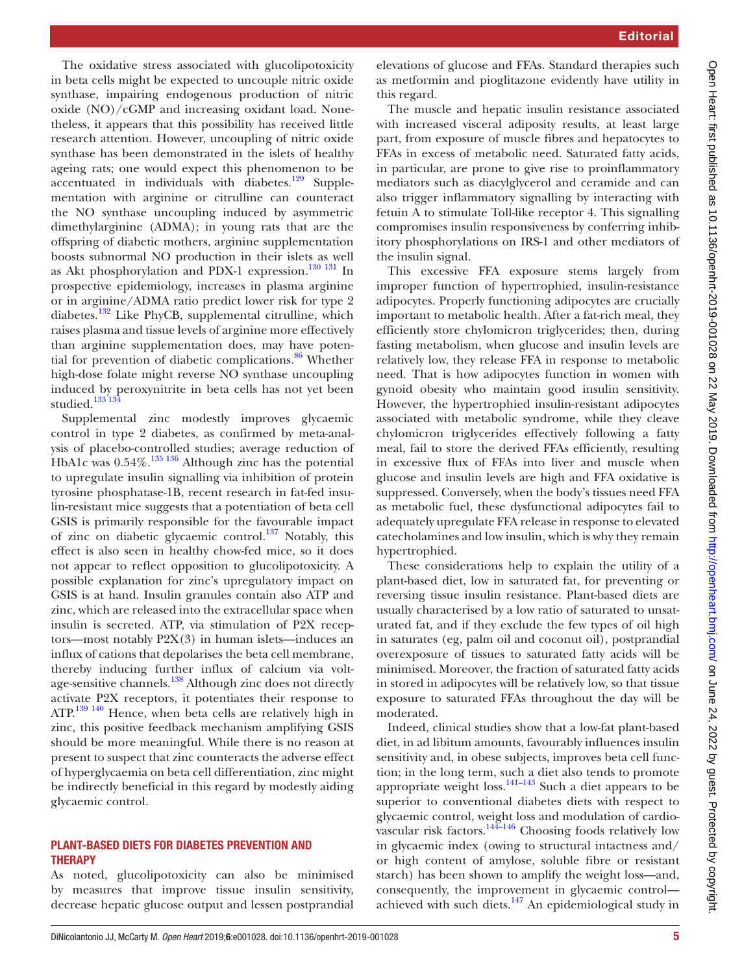The oxidative stress associated with glucolipotoxicity in beta cells might be expected to uncouple nitric oxide synthase, impairing endogenous production of nitric oxide (NO)/cGMP and increasing oxidant load. Nonetheless, it appears that this possibility has received little research attention. However, uncoupling of nitric oxide synthase has been demonstrated in the islets of healthy ageing rats; one would expect this phenomenon to be accentuated in individuals with diabetes. $129$  Supplementation with arginine or citrulline can counteract the NO synthase uncoupling induced by asymmetric dimethylarginine (ADMA); in young rats that are the offspring of diabetic mothers, arginine supplementation boosts subnormal NO production in their islets as well as Akt phosphorylation and PDX-1 expression.<sup>130 131</sup> In prospective epidemiology, increases in plasma arginine or in arginine/ADMA ratio predict lower risk for type 2 diabetes.<sup>[132](#page-9-2)</sup> Like PhyCB, supplemental citrulline, which raises plasma and tissue levels of arginine more effectively than arginine supplementation does, may have potential for prevention of diabetic complications. $86$  Whether high-dose folate might reverse NO synthase uncoupling induced by peroxynitrite in beta cells has not yet been studied.<sup>133'134</sup>

Supplemental zinc modestly improves glycaemic control in type 2 diabetes, as confirmed by meta-analysis of placebo-controlled studies; average reduction of HbA1c was  $0.54\%$ .<sup>135 136</sup> Although zinc has the potential to upregulate insulin signalling via inhibition of protein tyrosine phosphatase-1B, recent research in fat-fed insulin-resistant mice suggests that a potentiation of beta cell GSIS is primarily responsible for the favourable impact of zinc on diabetic glycaemic control.<sup>137</sup> Notably, this effect is also seen in healthy chow-fed mice, so it does not appear to reflect opposition to glucolipotoxicity. A possible explanation for zinc's upregulatory impact on GSIS is at hand. Insulin granules contain also ATP and zinc, which are released into the extracellular space when insulin is secreted. ATP, via stimulation of P2X receptors—most notably P2X(3) in human islets—induces an influx of cations that depolarises the beta cell membrane, thereby inducing further influx of calcium via voltage-sensitive channels.<sup>138</sup> Although zinc does not directly activate P2X receptors, it potentiates their response to ATP[.139 140](#page-9-7) Hence, when beta cells are relatively high in zinc, this positive feedback mechanism amplifying GSIS should be more meaningful. While there is no reason at present to suspect that zinc counteracts the adverse effect of hyperglycaemia on beta cell differentiation, zinc might be indirectly beneficial in this regard by modestly aiding glycaemic control.

#### Plant-based diets for diabetes prevention and **THERAPY**

As noted, glucolipotoxicity can also be minimised by measures that improve tissue insulin sensitivity, decrease hepatic glucose output and lessen postprandial elevations of glucose and FFAs. Standard therapies such as metformin and pioglitazone evidently have utility in this regard.

The muscle and hepatic insulin resistance associated with increased visceral adiposity results, at least large part, from exposure of muscle fibres and hepatocytes to FFAs in excess of metabolic need. Saturated fatty acids, in particular, are prone to give rise to proinflammatory mediators such as diacylglycerol and ceramide and can also trigger inflammatory signalling by interacting with fetuin A to stimulate Toll-like receptor 4. This signalling compromises insulin responsiveness by conferring inhibitory phosphorylations on IRS-1 and other mediators of the insulin signal.

This excessive FFA exposure stems largely from improper function of hypertrophied, insulin-resistance adipocytes. Properly functioning adipocytes are crucially important to metabolic health. After a fat-rich meal, they efficiently store chylomicron triglycerides; then, during fasting metabolism, when glucose and insulin levels are relatively low, they release FFA in response to metabolic need. That is how adipocytes function in women with gynoid obesity who maintain good insulin sensitivity. However, the hypertrophied insulin-resistant adipocytes associated with metabolic syndrome, while they cleave chylomicron triglycerides effectively following a fatty meal, fail to store the derived FFAs efficiently, resulting in excessive flux of FFAs into liver and muscle when glucose and insulin levels are high and FFA oxidative is suppressed. Conversely, when the body's tissues need FFA as metabolic fuel, these dysfunctional adipocytes fail to adequately upregulate FFA release in response to elevated catecholamines and low insulin, which is why they remain hypertrophied.

These considerations help to explain the utility of a plant-based diet, low in saturated fat, for preventing or reversing tissue insulin resistance. Plant-based diets are usually characterised by a low ratio of saturated to unsaturated fat, and if they exclude the few types of oil high in saturates (eg, palm oil and coconut oil), postprandial overexposure of tissues to saturated fatty acids will be minimised. Moreover, the fraction of saturated fatty acids in stored in adipocytes will be relatively low, so that tissue exposure to saturated FFAs throughout the day will be moderated.

Indeed, clinical studies show that a low-fat plant-based diet, in ad libitum amounts, favourably influences insulin sensitivity and, in obese subjects, improves beta cell function; in the long term, such a diet also tends to promote appropriate weight loss. $141-143$  Such a diet appears to be superior to conventional diabetes diets with respect to glycaemic control, weight loss and modulation of cardiovascular risk factors.[144–146](#page-9-9) Choosing foods relatively low in glycaemic index (owing to structural intactness and/ or high content of amylose, soluble fibre or resistant starch) has been shown to amplify the weight loss—and, consequently, the improvement in glycaemic control achieved with such diets. $147$  An epidemiological study in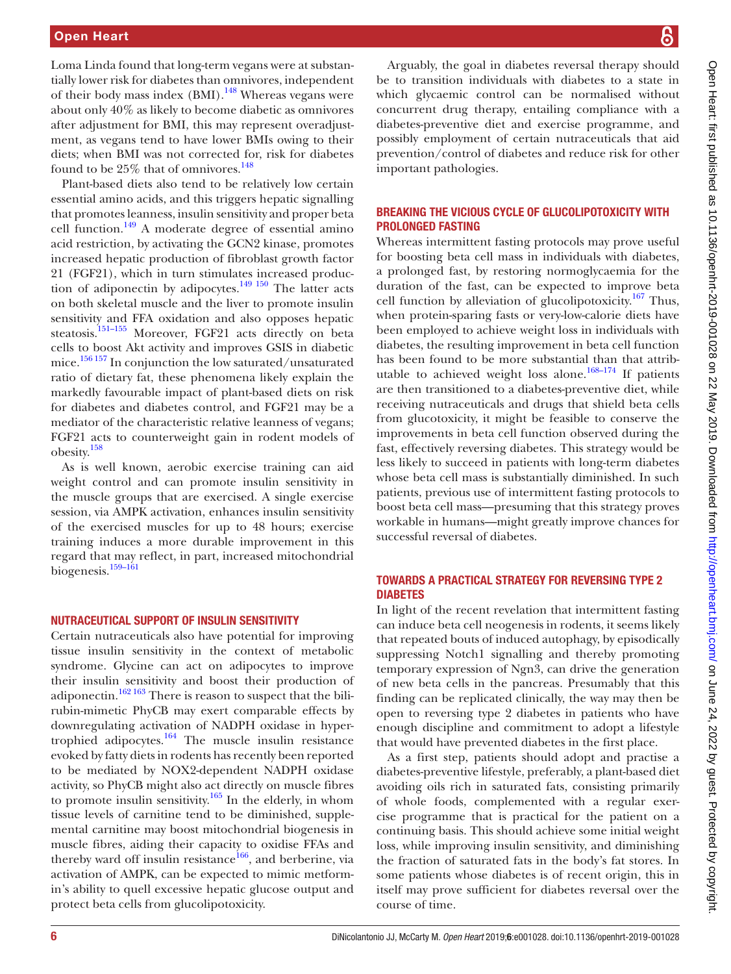Loma Linda found that long-term vegans were at substantially lower risk for diabetes than omnivores, independent of their body mass index (BMI).<sup>[148](#page-9-11)</sup> Whereas vegans were about only 40% as likely to become diabetic as omnivores after adjustment for BMI, this may represent overadjustment, as vegans tend to have lower BMIs owing to their diets; when BMI was not corrected for, risk for diabetes found to be  $25\%$  that of omnivores.<sup>[148](#page-9-11)</sup>

Plant-based diets also tend to be relatively low certain essential amino acids, and this triggers hepatic signalling that promotes leanness, insulin sensitivity and proper beta cell function.<sup>[149](#page-9-12)</sup> A moderate degree of essential amino acid restriction, by activating the GCN2 kinase, promotes increased hepatic production of fibroblast growth factor 21 (FGF21), which in turn stimulates increased production of adiponectin by adipocytes. $\frac{149}{150}$  The latter acts on both skeletal muscle and the liver to promote insulin sensitivity and FFA oxidation and also opposes hepatic steatosis.<sup>151-155</sup> Moreover, FGF21 acts directly on beta cells to boost Akt activity and improves GSIS in diabetic mice.[156 157](#page-9-14) In conjunction the low saturated/unsaturated ratio of dietary fat, these phenomena likely explain the markedly favourable impact of plant-based diets on risk for diabetes and diabetes control, and FGF21 may be a mediator of the characteristic relative leanness of vegans; FGF21 acts to counterweight gain in rodent models of obesity[.158](#page-9-15)

As is well known, aerobic exercise training can aid weight control and can promote insulin sensitivity in the muscle groups that are exercised. A single exercise session, via AMPK activation, enhances insulin sensitivity of the exercised muscles for up to 48 hours; exercise training induces a more durable improvement in this regard that may reflect, in part, increased mitochondrial biogenesis[.159–161](#page-9-16)

#### Nutraceutical support of insulin sensitivity

Certain nutraceuticals also have potential for improving tissue insulin sensitivity in the context of metabolic syndrome. Glycine can act on adipocytes to improve their insulin sensitivity and boost their production of adiponectin.<sup>162 163</sup> There is reason to suspect that the bilirubin-mimetic PhyCB may exert comparable effects by downregulating activation of NADPH oxidase in hyper-trophied adipocytes.<sup>[164](#page-9-18)</sup> The muscle insulin resistance evoked by fatty diets in rodents has recently been reported to be mediated by NOX2-dependent NADPH oxidase activity, so PhyCB might also act directly on muscle fibres to promote insulin sensitivity.<sup>[165](#page-9-19)</sup> In the elderly, in whom tissue levels of carnitine tend to be diminished, supplemental carnitine may boost mitochondrial biogenesis in muscle fibres, aiding their capacity to oxidise FFAs and thereby ward off insulin resistance<sup>166</sup>, and berberine, via activation of AMPK, can be expected to mimic metformin's ability to quell excessive hepatic glucose output and protect beta cells from glucolipotoxicity.

Arguably, the goal in diabetes reversal therapy should be to transition individuals with diabetes to a state in which glycaemic control can be normalised without concurrent drug therapy, entailing compliance with a diabetes-preventive diet and exercise programme, and possibly employment of certain nutraceuticals that aid prevention/control of diabetes and reduce risk for other important pathologies.

#### Breaking the vicious cycle of glucolipotoxicity with prolonged fasting

Whereas intermittent fasting protocols may prove useful for boosting beta cell mass in individuals with diabetes, a prolonged fast, by restoring normoglycaemia for the duration of the fast, can be expected to improve beta cell function by alleviation of glucolipotoxicity.<sup>167</sup> Thus, when protein-sparing fasts or very-low-calorie diets have been employed to achieve weight loss in individuals with diabetes, the resulting improvement in beta cell function has been found to be more substantial than that attributable to achieved weight loss alone.<sup>168-174</sup> If patients are then transitioned to a diabetes-preventive diet, while receiving nutraceuticals and drugs that shield beta cells from glucotoxicity, it might be feasible to conserve the improvements in beta cell function observed during the fast, effectively reversing diabetes. This strategy would be less likely to succeed in patients with long-term diabetes whose beta cell mass is substantially diminished. In such patients, previous use of intermittent fasting protocols to boost beta cell mass—presuming that this strategy proves workable in humans—might greatly improve chances for successful reversal of diabetes.

## Towards a practical strategy for reversing type 2 **DIABETES**

In light of the recent revelation that intermittent fasting can induce beta cell neogenesis in rodents, it seems likely that repeated bouts of induced autophagy, by episodically suppressing Notch1 signalling and thereby promoting temporary expression of Ngn3, can drive the generation of new beta cells in the pancreas. Presumably that this finding can be replicated clinically, the way may then be open to reversing type 2 diabetes in patients who have enough discipline and commitment to adopt a lifestyle that would have prevented diabetes in the first place.

As a first step, patients should adopt and practise a diabetes-preventive lifestyle, preferably, a plant-based diet avoiding oils rich in saturated fats, consisting primarily of whole foods, complemented with a regular exercise programme that is practical for the patient on a continuing basis. This should achieve some initial weight loss, while improving insulin sensitivity, and diminishing the fraction of saturated fats in the body's fat stores. In some patients whose diabetes is of recent origin, this in itself may prove sufficient for diabetes reversal over the course of time.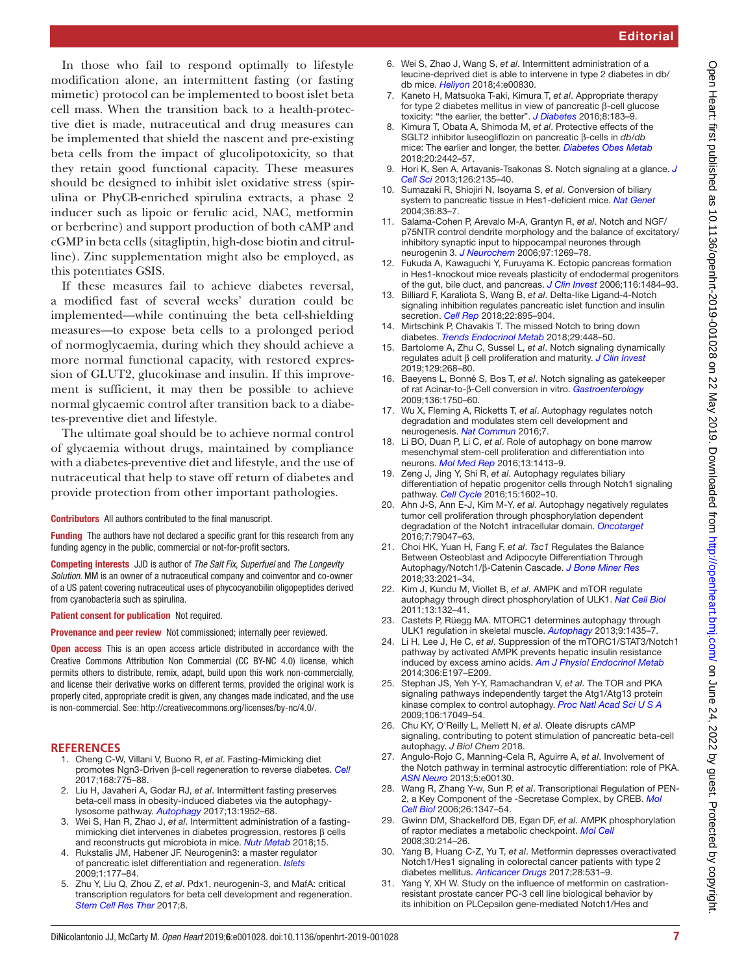In those who fail to respond optimally to lifestyle modification alone, an intermittent fasting (or fasting mimetic) protocol can be implemented to boost islet beta cell mass. When the transition back to a health-protective diet is made, nutraceutical and drug measures can be implemented that shield the nascent and pre-existing beta cells from the impact of glucolipotoxicity, so that they retain good functional capacity. These measures should be designed to inhibit islet oxidative stress (spirulina or PhyCB-enriched spirulina extracts, a phase 2 inducer such as lipoic or ferulic acid, NAC, metformin or berberine) and support production of both cAMP and cGMP in beta cells (sitagliptin, high-dose biotin and citrulline). Zinc supplementation might also be employed, as this potentiates GSIS.

If these measures fail to achieve diabetes reversal, a modified fast of several weeks' duration could be implemented—while continuing the beta cell-shielding measures—to expose beta cells to a prolonged period of normoglycaemia, during which they should achieve a more normal functional capacity, with restored expression of GLUT2, glucokinase and insulin. If this improvement is sufficient, it may then be possible to achieve normal glycaemic control after transition back to a diabetes-preventive diet and lifestyle.

The ultimate goal should be to achieve normal control of glycaemia without drugs, maintained by compliance with a diabetes-preventive diet and lifestyle, and the use of nutraceutical that help to stave off return of diabetes and provide protection from other important pathologies.

Contributors All authors contributed to the final manuscript.

**Funding** The authors have not declared a specific grant for this research from any funding agency in the public, commercial or not-for-profit sectors.

Competing interests JJD is author of *The Salt Fix*, *Superfuel* and *The Longevity Solution*. MM is an owner of a nutraceutical company and coinventor and co-owner of a US patent covering nutraceutical uses of phycocyanobilin oligopeptides derived from cyanobacteria such as spirulina.

Patient consent for publication Not required.

**Provenance and peer review** Not commissioned; internally peer reviewed.

Open access This is an open access article distributed in accordance with the Creative Commons Attribution Non Commercial (CC BY-NC 4.0) license, which permits others to distribute, remix, adapt, build upon this work non-commercially, and license their derivative works on different terms, provided the original work is properly cited, appropriate credit is given, any changes made indicated, and the use is non-commercial. See: <http://creativecommons.org/licenses/by-nc/4.0/>.

#### <span id="page-6-0"></span>**References**

- 1. Cheng C-W, Villani V, Buono R, *et al*. Fasting-Mimicking diet promotes Ngn3-Driven β-cell regeneration to reverse diabetes. *[Cell](http://dx.doi.org/10.1016/j.cell.2017.01.040)* 2017;168:775–88.
- <span id="page-6-2"></span>2. Liu H, Javaheri A, Godar RJ, *et al*. Intermittent fasting preserves beta-cell mass in obesity-induced diabetes via the autophagylysosome pathway. *[Autophagy](http://dx.doi.org/10.1080/15548627.2017.1368596)* 2017;13:1952–68.
- 3. Wei S, Han R, Zhao J, *et al*. Intermittent administration of a fastingmimicking diet intervenes in diabetes progression, restores β cells and reconstructs gut microbiota in mice. *[Nutr Metab](http://dx.doi.org/10.1186/s12986-018-0318-3)* 2018;15.
- <span id="page-6-1"></span>4. Rukstalis JM, Habener JF. Neurogenin3: a master regulator of pancreatic islet differentiation and regeneration. *[Islets](http://dx.doi.org/10.4161/isl.1.3.9877)* 2009;1:177–84.
- <span id="page-6-11"></span>5. Zhu Y, Liu Q, Zhou Z, *et al*. Pdx1, neurogenin-3, and MafA: critical transcription regulators for beta cell development and regeneration. *[Stem Cell Res Ther](http://dx.doi.org/10.1186/s13287-017-0694-z)* 2017;8.
- <span id="page-6-3"></span>6. Wei S, Zhao J, Wang S, *et al*. Intermittent administration of a leucine-deprived diet is able to intervene in type 2 diabetes in db/ db mice. *[Heliyon](http://dx.doi.org/10.1016/j.heliyon.2018.e00830)* 2018;4:e00830.
- <span id="page-6-4"></span>7. Kaneto H, Matsuoka T-aki, Kimura T, *et al*. Appropriate therapy for type 2 diabetes mellitus in view of pancreatic β-cell glucose toxicity: "the earlier, the better". *[J Diabetes](http://dx.doi.org/10.1111/1753-0407.12331)* 2016;8:183–9.
- 8. Kimura T, Obata A, Shimoda M, *et al*. Protective effects of the SGLT2 inhibitor luseogliflozin on pancreatic β-cells in *db/db* mice: The earlier and longer, the better. *[Diabetes Obes Metab](http://dx.doi.org/10.1111/dom.13400)* 2018;20:2442–57.
- <span id="page-6-5"></span>9. Hori K, Sen A, Artavanis-Tsakonas S. Notch signaling at a glance. *[J](http://dx.doi.org/10.1242/jcs.127308)  [Cell Sci](http://dx.doi.org/10.1242/jcs.127308)* 2013;126:2135–40.
- <span id="page-6-6"></span>10. Sumazaki R, Shiojiri N, Isoyama S, *et al*. Conversion of biliary system to pancreatic tissue in Hes1-deficient mice. *[Nat Genet](http://dx.doi.org/10.1038/ng1273)* 2004;36:83–7.
- 11. Salama-Cohen P, Arevalo M-A, Grantyn R, *et al*. Notch and NGF/ p75NTR control dendrite morphology and the balance of excitatory/ inhibitory synaptic input to hippocampal neurones through neurogenin 3. *[J Neurochem](http://dx.doi.org/10.1111/j.1471-4159.2006.03783.x)* 2006;97:1269–78.
- 12. Fukuda A, Kawaguchi Y, Furuyama K. Ectopic pancreas formation in Hes1-knockout mice reveals plasticity of endodermal progenitors of the gut, bile duct, and pancreas. *[J Clin Invest](http://dx.doi.org/10.1172/JCI27704)* 2006;116:1484–93.
- <span id="page-6-7"></span>13. Billiard F, Karaliota S, Wang B, *et al*. Delta-like Ligand-4-Notch signaling inhibition regulates pancreatic islet function and insulin secretion. *[Cell Rep](http://dx.doi.org/10.1016/j.celrep.2017.12.076)* 2018;22:895–904.
- 14. Mirtschink P, Chavakis T. The missed Notch to bring down diabetes. *[Trends Endocrinol Metab](http://dx.doi.org/10.1016/j.tem.2018.03.011)* 2018;29:448–50.
- <span id="page-6-8"></span>15. Bartolome A, Zhu C, Sussel L, *et al*. Notch signaling dynamically regulates adult β cell proliferation and maturity. *[J Clin Invest](http://dx.doi.org/10.1172/JCI98098)* 2019;129:268–80.
- <span id="page-6-9"></span>16. Baeyens L, Bonné S, Bos T, *et al*. Notch signaling as gatekeeper of rat Acinar-to-β-Cell conversion in vitro. *[Gastroenterology](http://dx.doi.org/10.1053/j.gastro.2009.01.047)* 2009;136:1750–60.
- <span id="page-6-10"></span>17. Wu X, Fleming A, Ricketts T, *et al*. Autophagy regulates notch degradation and modulates stem cell development and neurogenesis. *[Nat Commun](http://dx.doi.org/10.1038/ncomms10533)* 2016;7.
- 18. Li BO, Duan P, Li C, *et al*. Role of autophagy on bone marrow mesenchymal stem-cell proliferation and differentiation into neurons. *[Mol Med Rep](http://dx.doi.org/10.3892/mmr.2015.4673)* 2016;13:1413–9.
- 19. Zeng J, Jing Y, Shi R, *et al*. Autophagy regulates biliary differentiation of hepatic progenitor cells through Notch1 signaling pathway. *[Cell Cycle](http://dx.doi.org/10.1080/15384101.2016.1181234)* 2016;15:1602–10.
- 20. Ahn J-S, Ann E-J, Kim M-Y, *et al*. Autophagy negatively regulates tumor cell proliferation through phosphorylation dependent degradation of the Notch1 intracellular domain. *[Oncotarget](http://dx.doi.org/10.18632/oncotarget.12986)* 2016;7:79047–63.
- 21. Choi HK, Yuan H, Fang F, *et al*. *Tsc1* Regulates the Balance Between Osteoblast and Adipocyte Differentiation Through Autophagy/Notch1/β-Catenin Cascade. *[J Bone Miner Res](http://dx.doi.org/10.1002/jbmr.3530)* 2018;33:2021–34.
- <span id="page-6-12"></span>22. Kim J, Kundu M, Viollet B, *et al*. AMPK and mTOR regulate autophagy through direct phosphorylation of ULK1. *[Nat Cell Biol](http://dx.doi.org/10.1038/ncb2152)* 2011;13:132–41.
- 23. Castets P, Rüegg MA. MTORC1 determines autophagy through ULK1 regulation in skeletal muscle. *[Autophagy](http://dx.doi.org/10.4161/auto.25722)* 2013;9:1435–7.
- <span id="page-6-13"></span>24. Li H, Lee J, He C, *et al*. Suppression of the mTORC1/STAT3/Notch1 pathway by activated AMPK prevents hepatic insulin resistance induced by excess amino acids. *[Am J Physiol Endocrinol Metab](http://dx.doi.org/10.1152/ajpendo.00202.2013)* 2014;306:E197–E209.
- <span id="page-6-14"></span>25. Stephan JS, Yeh Y-Y, Ramachandran V, *et al*. The TOR and PKA signaling pathways independently target the Atg1/Atg13 protein kinase complex to control autophagy. *[Proc Natl Acad Sci U S A](http://dx.doi.org/10.1073/pnas.0903316106)* 2009;106:17049–54.
- <span id="page-6-15"></span>26. Chu KY, O'Reilly L, Mellett N, *et al*. Oleate disrupts cAMP signaling, contributing to potent stimulation of pancreatic beta-cell autophagy. *J Biol Chem* 2018.
- <span id="page-6-16"></span>27. Angulo-Rojo C, Manning-Cela R, Aguirre A, *et al*. Involvement of the Notch pathway in terminal astrocytic differentiation: role of PKA. *[ASN Neuro](http://dx.doi.org/10.1042/AN20130023)* 2013;5:e00130.
- 28. Wang R, Zhang Y-w, Sun P, *et al*. Transcriptional Regulation of PEN-2, a Key Component of the -Secretase Complex, by CREB. *[Mol](http://dx.doi.org/10.1128/MCB.26.4.1347-1354.2006)  [Cell Biol](http://dx.doi.org/10.1128/MCB.26.4.1347-1354.2006)* 2006;26:1347–54.
- 29. Gwinn DM, Shackelford DB, Egan DF, *et al*. AMPK phosphorylation of raptor mediates a metabolic checkpoint. *[Mol Cell](http://dx.doi.org/10.1016/j.molcel.2008.03.003)* 2008;30:214–26.
- 30. Yang B, Huang C-Z, Yu T, *et al*. Metformin depresses overactivated Notch1/Hes1 signaling in colorectal cancer patients with type 2 diabetes mellitus. *[Anticancer Drugs](http://dx.doi.org/10.1097/CAD.0000000000000483)* 2017;28:531–9.
- 31. Yang Y, XH W. Study on the influence of metformin on castrationresistant prostate cancer PC-3 cell line biological behavior by its inhibition on PLCepsilon gene-mediated Notch1/Hes and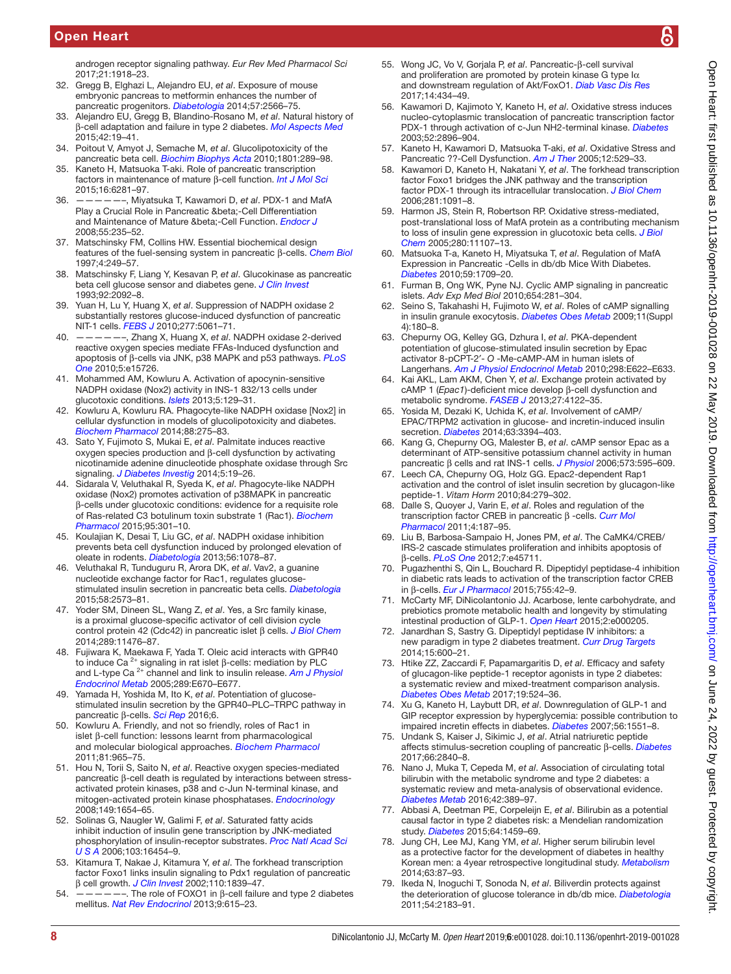androgen receptor signaling pathway. *Eur Rev Med Pharmacol Sci* 2017;21:1918–23.

- <span id="page-7-0"></span>32. Gregg B, Elghazi L, Alejandro EU, *et al*. Exposure of mouse embryonic pancreas to metformin enhances the number of pancreatic progenitors. *[Diabetologia](http://dx.doi.org/10.1007/s00125-014-3379-5)* 2014;57:2566–75.
- <span id="page-7-1"></span>33. Alejandro EU, Gregg B, Blandino-Rosano M, *et al*. Natural history of β-cell adaptation and failure in type 2 diabetes. *[Mol Aspects Med](http://dx.doi.org/10.1016/j.mam.2014.12.002)* 2015;42:19–41.
- <span id="page-7-6"></span>34. Poitout V, Amyot J, Semache M, *et al*. Glucolipotoxicity of the pancreatic beta cell. *[Biochim Biophys Acta](http://dx.doi.org/10.1016/j.bbalip.2009.08.006)* 2010;1801:289–98.
- <span id="page-7-2"></span>35. Kaneto H, Matsuoka T-aki. Role of pancreatic transcription factors in maintenance of mature β-cell function. *[Int J Mol Sci](http://dx.doi.org/10.3390/ijms16036281)* 2015;16:6281–97.
- <span id="page-7-5"></span>36. —————–, Miyatsuka T, Kawamori D, *et al*. PDX-1 and MafA Play a Crucial Role in Pancreatic & beta;-Cell Differentiation and Maintenance of Mature β-Cell Function. *[Endocr J](http://dx.doi.org/10.1507/endocrj.K07E-041)* 2008;55:235–52.
- <span id="page-7-3"></span>37. Matschinsky FM, Collins HW. Essential biochemical design features of the fuel-sensing system in pancreatic β-cells. *[Chem Biol](http://dx.doi.org/10.1016/S1074-5521(97)90068-5)* 1997;4:249–57.
- <span id="page-7-4"></span>38. Matschinsky F, Liang Y, Kesavan P, *et al*. Glucokinase as pancreatic beta cell glucose sensor and diabetes gene. *[J Clin Invest](http://dx.doi.org/10.1172/JCI116809)* 1993;92:2092–8.
- <span id="page-7-7"></span>39. Yuan H, Lu Y, Huang X, *et al*. Suppression of NADPH oxidase 2 substantially restores glucose-induced dysfunction of pancreatic NIT-1 cells. *[FEBS J](http://dx.doi.org/10.1111/j.1742-4658.2010.07911.x)* 2010;277:5061–71.
- <span id="page-7-11"></span>40. —————–, Zhang X, Huang X, *et al*. NADPH oxidase 2-derived reactive oxygen species mediate FFAs-Induced dysfunction and apoptosis of β-cells via JNK, p38 MAPK and p53 pathways. *[PLoS](http://dx.doi.org/10.1371/journal.pone.0015726)  [One](http://dx.doi.org/10.1371/journal.pone.0015726)* 2010;5:e15726.
- 41. Mohammed AM, Kowluru A. Activation of apocynin-sensitive NADPH oxidase (Nox2) activity in INS-1 832/13 cells under glucotoxic conditions. *[Islets](http://dx.doi.org/10.4161/isl.25058)* 2013;5:129–31.
- 42. Kowluru A, Kowluru RA. Phagocyte-like NADPH oxidase [Nox2] in cellular dysfunction in models of glucolipotoxicity and diabetes. *[Biochem Pharmacol](http://dx.doi.org/10.1016/j.bcp.2014.01.017)* 2014;88:275–83.
- 43. Sato Y, Fujimoto S, Mukai E, *et al*. Palmitate induces reactive oxygen species production and β-cell dysfunction by activating nicotinamide adenine dinucleotide phosphate oxidase through Src signaling. *[J Diabetes Investig](http://dx.doi.org/10.1111/jdi.12124)* 2014;5:19–26.
- 44. Sidarala V, Veluthakal R, Syeda K, *et al*. Phagocyte-like NADPH oxidase (Nox2) promotes activation of p38MAPK in pancreatic β-cells under glucotoxic conditions: evidence for a requisite role of Ras-related C3 botulinum toxin substrate 1 (Rac1). *[Biochem](http://dx.doi.org/10.1016/j.bcp.2015.04.001)  [Pharmacol](http://dx.doi.org/10.1016/j.bcp.2015.04.001)* 2015;95:301–10.
- 45. Koulajian K, Desai T, Liu GC, *et al*. NADPH oxidase inhibition prevents beta cell dysfunction induced by prolonged elevation of oleate in rodents. *[Diabetologia](http://dx.doi.org/10.1007/s00125-013-2858-4)* 2013;56:1078–87.
- <span id="page-7-8"></span>46. Veluthakal R, Tunduguru R, Arora DK, *et al*. Vav2, a guanine nucleotide exchange factor for Rac1, regulates glucosestimulated insulin secretion in pancreatic beta cells. *[Diabetologia](http://dx.doi.org/10.1007/s00125-015-3707-4)* 2015;58:2573–81.
- 47. Yoder SM, Dineen SL, Wang Z, *et al*. Yes, a Src family kinase, is a proximal glucose-specific activator of cell division cycle control protein 42 (Cdc42) in pancreatic islet β cells. *[J Biol Chem](http://dx.doi.org/10.1074/jbc.M114.559328)* 2014;289:11476–87.
- <span id="page-7-9"></span>48. Fujiwara K, Maekawa F, Yada T. Oleic acid interacts with GPR40 to induce Ca<sup>2+</sup> signaling in rat islet β-cells: mediation by PLC and L-type Ca 2+ channel and link to insulin release. *[Am J Physiol](http://dx.doi.org/10.1152/ajpendo.00035.2005)  [Endocrinol Metab](http://dx.doi.org/10.1152/ajpendo.00035.2005)* 2005;289:E670–E677.
- 49. Yamada H, Yoshida M, Ito K, *et al*. Potentiation of glucosestimulated insulin secretion by the GPR40–PLC–TRPC pathway in pancreatic β-cells. *[Sci Rep](http://dx.doi.org/10.1038/srep25912)* 2016;6.
- <span id="page-7-10"></span>50. Kowluru A. Friendly, and not so friendly, roles of Rac1 in islet β-cell function: lessons learnt from pharmacological and molecular biological approaches. *[Biochem Pharmacol](http://dx.doi.org/10.1016/j.bcp.2011.01.013)* 2011;81:965–75.
- <span id="page-7-16"></span>51. Hou N, Torii S, Saito N, *et al*. Reactive oxygen species-mediated pancreatic β-cell death is regulated by interactions between stressactivated protein kinases, p38 and c-Jun N-terminal kinase, and mitogen-activated protein kinase phosphatases. *[Endocrinology](http://dx.doi.org/10.1210/en.2007-0988)* 2008;149:1654–65.
- <span id="page-7-12"></span>52. Solinas G, Naugler W, Galimi F, *et al*. Saturated fatty acids inhibit induction of insulin gene transcription by JNK-mediated phosphorylation of insulin-receptor substrates. *[Proc Natl Acad Sci](http://dx.doi.org/10.1073/pnas.0607626103)  [U S A](http://dx.doi.org/10.1073/pnas.0607626103)* 2006;103:16454–9.
- <span id="page-7-13"></span>53. Kitamura T, Nakae J, Kitamura Y, *et al*. The forkhead transcription factor Foxo1 links insulin signaling to Pdx1 regulation of pancreatic β cell growth. *[J Clin Invest](http://dx.doi.org/10.1172/JCI200216857)* 2002;110:1839–47.
- 54. —————–. The role of FOXO1 in β-cell failure and type 2 diabetes mellitus. *[Nat Rev Endocrinol](http://dx.doi.org/10.1038/nrendo.2013.157)* 2013;9:615–23.
- 55. Wong JC, Vo V, Gorjala P, *et al*. Pancreatic-β-cell survival and proliferation are promoted by protein kinase G type  $I\alpha$ and downstream regulation of Akt/FoxO1. *[Diab Vasc Dis Res](http://dx.doi.org/10.1177/1479164117713947)* 2017;14:434–49.
- <span id="page-7-14"></span>56. Kawamori D, Kajimoto Y, Kaneto H, *et al*. Oxidative stress induces nucleo-cytoplasmic translocation of pancreatic transcription factor PDX-1 through activation of c-Jun NH2-terminal kinase. *[Diabetes](http://dx.doi.org/10.2337/diabetes.52.12.2896)* 2003;52:2896–904.
- 57. Kaneto H, Kawamori D, Matsuoka T-aki, *et al*. Oxidative Stress and Pancreatic ??-Cell Dysfunction. *[Am J Ther](http://dx.doi.org/10.1097/01.mjt.0000178773.31525.c2)* 2005;12:529–33.
- 58. Kawamori D, Kaneto H, Nakatani Y, *et al*. The forkhead transcription factor Foxo1 bridges the JNK pathway and the transcription factor PDX-1 through its intracellular translocation. *[J Biol Chem](http://dx.doi.org/10.1074/jbc.M508510200)* 2006;281:1091–8.
- <span id="page-7-15"></span>59. Harmon JS, Stein R, Robertson RP. Oxidative stress-mediated, post-translational loss of MafA protein as a contributing mechanism to loss of insulin gene expression in glucotoxic beta cells. *[J Biol](http://dx.doi.org/10.1074/jbc.M410345200)  [Chem](http://dx.doi.org/10.1074/jbc.M410345200)* 2005;280:11107–13.
- 60. Matsuoka T-a, Kaneto H, Miyatsuka T, *et al*. Regulation of MafA Expression in Pancreatic -Cells in db/db Mice With Diabetes. *[Diabetes](http://dx.doi.org/10.2337/db08-0693)* 2010;59:1709–20.
- <span id="page-7-17"></span>61. Furman B, Ong WK, Pyne NJ. Cyclic AMP signaling in pancreatic islets. *Adv Exp Med Biol* 2010;654:281–304.
- <span id="page-7-18"></span>62. Seino S, Takahashi H, Fujimoto W, *et al*. Roles of cAMP signalling in insulin granule exocytosis. *[Diabetes Obes Metab](http://dx.doi.org/10.1111/j.1463-1326.2009.01108.x)* 2009;11(Suppl 4):180–8.
- 63. Chepurny OG, Kelley GG, Dzhura I, *et al*. PKA-dependent potentiation of glucose-stimulated insulin secretion by Epac activator 8-pCPT-2′- *O* -Me-cAMP-AM in human islets of Langerhans. *[Am J Physiol Endocrinol Metab](http://dx.doi.org/10.1152/ajpendo.00630.2009)* 2010;298:E622–E633.
- 64. Kai AKL, Lam AKM, Chen Y, *et al*. Exchange protein activated by cAMP 1 (*Epac1*)-deficient mice develop β-cell dysfunction and metabolic syndrome. *[FASEB J](http://dx.doi.org/10.1096/fj.13-230433)* 2013;27:4122–35.
- 65. Yosida M, Dezaki K, Uchida K, *et al*. Involvement of cAMP/ EPAC/TRPM2 activation in glucose- and incretin-induced insulin secretion. *[Diabetes](http://dx.doi.org/10.2337/db13-1868)* 2014;63:3394–403.
- 66. Kang G, Chepurny OG, Malester B, *et al*. cAMP sensor Epac as a determinant of ATP-sensitive potassium channel activity in human pancreatic β cells and rat INS-1 cells. *[J Physiol](http://dx.doi.org/10.1113/jphysiol.2006.107391)* 2006;573:595–609.
- 67. Leech CA, Chepurny OG, Holz GG. Epac2-dependent Rap1 activation and the control of islet insulin secretion by glucagon-like peptide-1. *Vitam Horm* 2010;84:279–302.
- <span id="page-7-19"></span>68. Dalle S, Quoyer J, Varin E, *et al*. Roles and regulation of the transcription factor CREB in pancreatic β -cells. *[Curr Mol](http://dx.doi.org/10.2174/1874467211104030187)  [Pharmacol](http://dx.doi.org/10.2174/1874467211104030187)* 2011;4:187–95.
- 69. Liu B, Barbosa-Sampaio H, Jones PM, *et al*. The CaMK4/CREB/ IRS-2 cascade stimulates proliferation and inhibits apoptosis of β-cells. *[PLoS One](http://dx.doi.org/10.1371/journal.pone.0045711)* 2012;7:e45711.
- 70. Pugazhenthi S, Qin L, Bouchard R. Dipeptidyl peptidase-4 inhibition in diabetic rats leads to activation of the transcription factor CREB in β-cells. *[Eur J Pharmacol](http://dx.doi.org/10.1016/j.ejphar.2015.02.024)* 2015;755:42–9.
- <span id="page-7-20"></span>71. McCarty MF, DiNicolantonio JJ. Acarbose, lente carbohydrate, and prebiotics promote metabolic health and longevity by stimulating intestinal production of GLP-1. *[Open Heart](http://dx.doi.org/10.1136/openhrt-2014-000205)* 2015;2:e000205.
- 72. Janardhan S, Sastry G. Dipeptidyl peptidase IV inhibitors: a new paradigm in type 2 diabetes treatment. *[Curr Drug Targets](http://dx.doi.org/10.2174/1389450115666140311102638)* 2014;15:600–21.
- 73. Htike ZZ, Zaccardi F, Papamargaritis D, *et al*. Efficacy and safety of glucagon-like peptide-1 receptor agonists in type 2 diabetes: a systematic review and mixed-treatment comparison analysis. *[Diabetes Obes Metab](http://dx.doi.org/10.1111/dom.12849)* 2017;19:524–36.
- <span id="page-7-21"></span>74. Xu G, Kaneto H, Laybutt DR, *et al*. Downregulation of GLP-1 and GIP receptor expression by hyperglycemia: possible contribution to impaired incretin effects in diabetes. *[Diabetes](http://dx.doi.org/10.2337/db06-1033)* 2007;56:1551–8.
- <span id="page-7-22"></span>75. Undank S, Kaiser J, Sikimic J, *et al*. Atrial natriuretic peptide affects stimulus-secretion coupling of pancreatic β-cells. *[Diabetes](http://dx.doi.org/10.2337/db17-0392)* 2017;66:2840–8.
- <span id="page-7-23"></span>76. Nano J, Muka T, Cepeda M, *et al*. Association of circulating total bilirubin with the metabolic syndrome and type 2 diabetes: a systematic review and meta-analysis of observational evidence. *[Diabetes Metab](http://dx.doi.org/10.1016/j.diabet.2016.06.002)* 2016;42:389–97.
- 77. Abbasi A, Deetman PE, Corpeleijn E, *et al*. Bilirubin as a potential causal factor in type 2 diabetes risk: a Mendelian randomization study. *[Diabetes](http://dx.doi.org/10.2337/db14-0228)* 2015;64:1459–69.
- 78. Jung CH, Lee MJ, Kang YM, *et al*. Higher serum bilirubin level as a protective factor for the development of diabetes in healthy Korean men: a 4year retrospective longitudinal study. *[Metabolism](http://dx.doi.org/10.1016/j.metabol.2013.09.011)* 2014;63:87–93.
- <span id="page-7-24"></span>79. Ikeda N, Inoguchi T, Sonoda N, *et al*. Biliverdin protects against the deterioration of glucose tolerance in db/db mice. *[Diabetologia](http://dx.doi.org/10.1007/s00125-011-2197-2)* 2011;54:2183–91.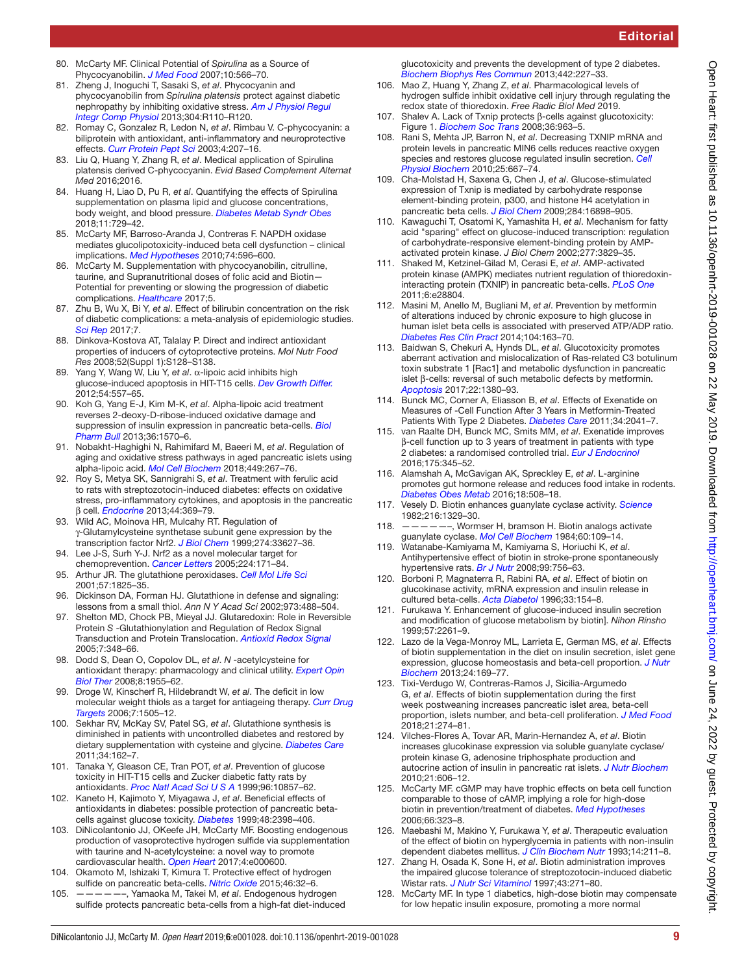- <span id="page-8-0"></span>81. Zheng J, Inoguchi T, Sasaki S, *et al*. Phycocyanin and phycocyanobilin from *Spirulina platensis* protect against diabetic nephropathy by inhibiting oxidative stress. *[Am J Physiol Regul](http://dx.doi.org/10.1152/ajpregu.00648.2011)  [Integr Comp Physiol](http://dx.doi.org/10.1152/ajpregu.00648.2011)* 2013;304:R110–R120.
- 82. Romay C, Gonzalez R, Ledon N, *et al*. Rimbau V. C-phycocyanin: a biliprotein with antioxidant, anti-inflammatory and neuroprotective effects. *[Curr Protein Pept Sci](http://dx.doi.org/10.2174/1389203033487216)* 2003;4:207–16.
- 83. Liu Q, Huang Y, Zhang R, *et al*. Medical application of Spirulina platensis derived C-phycocyanin. *Evid Based Complement Alternat Med* 2016;2016.
- 84. Huang H, Liao D, Pu R, *et al*. Quantifying the effects of Spirulina supplementation on plasma lipid and glucose concentrations, body weight, and blood pressure. *[Diabetes Metab Syndr Obes](http://dx.doi.org/10.2147/DMSO.S185672)* 2018;11:729–42.
- <span id="page-8-1"></span>85. McCarty MF, Barroso-Aranda J, Contreras F. NAPDH oxidase mediates glucolipotoxicity-induced beta cell dysfunction – clinical implications. *[Med Hypotheses](http://dx.doi.org/10.1016/j.mehy.2008.09.062)* 2010;74:596–600.
- <span id="page-8-2"></span>86. McCarty M. Supplementation with phycocyanobilin, citrulline, taurine, and Supranutritional doses of folic acid and Biotin— Potential for preventing or slowing the progression of diabetic complications. *[Healthcare](http://dx.doi.org/10.3390/healthcare5010015)* 2017;5.
- 87. Zhu B, Wu X, Bi Y, *et al*. Effect of bilirubin concentration on the risk of diabetic complications: a meta-analysis of epidemiologic studies. *[Sci Rep](http://dx.doi.org/10.1038/srep41681)* 2017;7.
- <span id="page-8-3"></span>88. Dinkova-Kostova AT, Talalay P. Direct and indirect antioxidant properties of inducers of cytoprotective proteins. *Mol Nutr Food Res* 2008;52(Suppl 1):S128–S138.
- <span id="page-8-4"></span>89. Yang Y, Wang W, Liu Y, *et al*. α-lipoic acid inhibits high glucose-induced apoptosis in HIT-T15 cells. *[Dev Growth Differ.](http://dx.doi.org/10.1111/j.1440-169X.2012.01356.x)* 2012;54:557–65.
- 90. Koh G, Yang E-J, Kim M-K, *et al*. Alpha-lipoic acid treatment reverses 2-deoxy-D-ribose-induced oxidative damage and suppression of insulin expression in pancreatic beta-cells. *[Biol](http://dx.doi.org/10.1248/bpb.b13-00292)  [Pharm Bull](http://dx.doi.org/10.1248/bpb.b13-00292)* 2013;36:1570–6.
- 91. Nobakht-Haghighi N, Rahimifard M, Baeeri M, *et al*. Regulation of aging and oxidative stress pathways in aged pancreatic islets using alpha-lipoic acid. *[Mol Cell Biochem](http://dx.doi.org/10.1007/s11010-018-3363-3)* 2018;449:267–76.
- 92. Roy S, Metya SK, Sannigrahi S, *et al*. Treatment with ferulic acid to rats with streptozotocin-induced diabetes: effects on oxidative stress, pro-inflammatory cytokines, and apoptosis in the pancreatic β cell. *[Endocrine](http://dx.doi.org/10.1007/s12020-012-9868-8)* 2013;44:369–79.
- <span id="page-8-5"></span>93. Wild AC, Moinova HR, Mulcahy RT. Regulation of γ-Glutamylcysteine synthetase subunit gene expression by the transcription factor Nrf2. *[J Biol Chem](http://dx.doi.org/10.1074/jbc.274.47.33627)* 1999;274:33627–36.
- 94. Lee J-S, Surh Y-J. Nrf2 as a novel molecular target for chemoprevention. *[Cancer Letters](http://dx.doi.org/10.1016/j.canlet.2004.09.042)* 2005;224:171–84.
- <span id="page-8-6"></span>95. Arthur JR. The glutathione peroxidases. *[Cell Mol Life Sci](http://dx.doi.org/10.1007/PL00000664)* 2001;57:1825–35.
- 96. Dickinson DA, Forman HJ. Glutathione in defense and signaling: lessons from a small thiol. *Ann N Y Acad Sci* 2002;973:488–504.
- 97. Shelton MD, Chock PB, Mieyal JJ. Glutaredoxin: Role in Reversible Protein *S* -Glutathionylation and Regulation of Redox Signal Transduction and Protein Translocation. *[Antioxid Redox Signal](http://dx.doi.org/10.1089/ars.2005.7.348)* 2005;7:348–66.
- <span id="page-8-7"></span>98. Dodd S, Dean O, Copolov DL, *et al*. *N* -acetylcysteine for antioxidant therapy: pharmacology and clinical utility. *[Expert Opin](http://dx.doi.org/10.1517/14728220802517901)  [Biol Ther](http://dx.doi.org/10.1517/14728220802517901)* 2008;8:1955–62.
- 99. Droge W, Kinscherf R, Hildebrandt W, *et al*. The deficit in low molecular weight thiols as a target for antiageing therapy. *[Curr Drug](http://dx.doi.org/10.2174/1389450110607011505) [Targets](http://dx.doi.org/10.2174/1389450110607011505)* 2006;7:1505–12.
- 100. Sekhar RV, McKay SV, Patel SG, *et al*. Glutathione synthesis is diminished in patients with uncontrolled diabetes and restored by dietary supplementation with cysteine and glycine. *[Diabetes Care](http://dx.doi.org/10.2337/dc10-1006)* 2011;34:162–7.
- <span id="page-8-8"></span>101. Tanaka Y, Gleason CE, Tran POT, *et al*. Prevention of glucose toxicity in HIT-T15 cells and Zucker diabetic fatty rats by antioxidants. *[Proc Natl Acad Sci U S A](http://dx.doi.org/10.1073/pnas.96.19.10857)* 1999;96:10857–62.
- 102. Kaneto H, Kajimoto Y, Miyagawa J, *et al*. Beneficial effects of antioxidants in diabetes: possible protection of pancreatic betacells against glucose toxicity. *[Diabetes](http://dx.doi.org/10.2337/diabetes.48.12.2398)* 1999;48:2398–406.
- <span id="page-8-9"></span>103. DiNicolantonio JJ, OKeefe JH, McCarty MF. Boosting endogenous production of vasoprotective hydrogen sulfide via supplementation with taurine and N-acetylcysteine: a novel way to promote cardiovascular health. *[Open Heart](http://dx.doi.org/10.1136/openhrt-2017-000600)* 2017;4:e000600.
- <span id="page-8-10"></span>104. Okamoto M, Ishizaki T, Kimura T. Protective effect of hydrogen sulfide on pancreatic beta-cells. *[Nitric Oxide](http://dx.doi.org/10.1016/j.niox.2014.11.007)* 2015;46:32–6.
- 105. —————–, Yamaoka M, Takei M, *et al*. Endogenous hydrogen sulfide protects pancreatic beta-cells from a high-fat diet-induced

glucotoxicity and prevents the development of type 2 diabetes. *[Biochem Biophys Res Commun](http://dx.doi.org/10.1016/j.bbrc.2013.11.023)* 2013;442:227–33.

- 106. Mao Z, Huang Y, Zhang Z, *et al*. Pharmacological levels of hydrogen sulfide inhibit oxidative cell injury through regulating the redox state of thioredoxin. *Free Radic Biol Med* 2019.
- <span id="page-8-11"></span>107. Shalev A. Lack of Txnip protects β-cells against glucotoxicity: Figure 1. *[Biochem Soc Trans](http://dx.doi.org/10.1042/BST0360963)* 2008;36:963–5.
- 108. Rani S, Mehta JP, Barron N, *et al*. Decreasing TXNIP mRNA and protein levels in pancreatic MIN6 cells reduces reactive oxygen species and restores glucose regulated insulin secretion. *[Cell](http://dx.doi.org/10.1159/000315086)  [Physiol Biochem](http://dx.doi.org/10.1159/000315086)* 2010;25:667–74.
- <span id="page-8-12"></span>109. Cha-Molstad H, Saxena G, Chen J, *et al*. Glucose-stimulated expression of Txnip is mediated by carbohydrate response element-binding protein, p300, and histone H4 acetylation in pancreatic beta cells. *[J Biol Chem](http://dx.doi.org/10.1074/jbc.M109.010504)* 2009;284:16898–905.
- <span id="page-8-13"></span>110. Kawaguchi T, Osatomi K, Yamashita H, *et al*. Mechanism for fatty acid "sparing" effect on glucose-induced transcription: regulation of carbohydrate-responsive element-binding protein by AMPactivated protein kinase. *J Biol Chem* 2002;277:3829–35.
- 111. Shaked M, Ketzinel-Gilad M, Cerasi E, *et al*. AMP-activated protein kinase (AMPK) mediates nutrient regulation of thioredoxininteracting protein (TXNIP) in pancreatic beta-cells. *[PLoS One](http://dx.doi.org/10.1371/journal.pone.0028804)* 2011;6:e28804.
- <span id="page-8-14"></span>112. Masini M, Anello M, Bugliani M, *et al*. Prevention by metformin of alterations induced by chronic exposure to high glucose in human islet beta cells is associated with preserved ATP/ADP ratio. *[Diabetes Res Clin Pract](http://dx.doi.org/10.1016/j.diabres.2013.12.031)* 2014;104:163–70.
- 113. Baidwan S, Chekuri A, Hynds DL, *et al*. Glucotoxicity promotes aberrant activation and mislocalization of Ras-related C3 botulinum toxin substrate 1 [Rac1] and metabolic dysfunction in pancreatic islet β-cells: reversal of such metabolic defects by metformin. *[Apoptosis](http://dx.doi.org/10.1007/s10495-017-1409-8)* 2017;22:1380–93.
- <span id="page-8-15"></span>114. Bunck MC, Corner A, Eliasson B, *et al*. Effects of Exenatide on Measures of -Cell Function After 3 Years in Metformin-Treated Patients With Type 2 Diabetes. *[Diabetes Care](http://dx.doi.org/10.2337/dc11-0291)* 2011;34:2041–7.
- 115. van Raalte DH, Bunck MC, Smits MM, *et al*. Exenatide improves β-cell function up to 3 years of treatment in patients with type 2 diabetes: a randomised controlled trial. *[Eur J Endocrinol](http://dx.doi.org/10.1530/EJE-16-0286)* 2016;175:345–52.
- 116. Alamshah A, McGavigan AK, Spreckley E, *et al*. L-arginine promotes gut hormone release and reduces food intake in rodents. *[Diabetes Obes Metab](http://dx.doi.org/10.1111/dom.12644)* 2016;18:508–18.
- <span id="page-8-16"></span>117. Vesely D. Biotin enhances guanylate cyclase activity. *[Science](http://dx.doi.org/10.1126/science.6123152)* 1982;216:1329–30.
- 118. —————–, Wormser H, bramson H. Biotin analogs activate guanylate cyclase. *[Mol Cell Biochem](http://dx.doi.org/10.1007/BF00222480)* 1984;60:109–14.
- <span id="page-8-17"></span>119. Watanabe-Kamiyama M, Kamiyama S, Horiuchi K, *et al*. Antihypertensive effect of biotin in stroke-prone spontaneously hypertensive rats. *[Br J Nutr](http://dx.doi.org/10.1017/S0007114507841122)* 2008;99:756–63.
- <span id="page-8-18"></span>120. Borboni P, Magnaterra R, Rabini RA, *et al*. Effect of biotin on glucokinase activity, mRNA expression and insulin release in cultured beta-cells. *[Acta Diabetol](http://dx.doi.org/10.1007/BF00569427)* 1996;33:154–8.
- 121. Furukawa Y. Enhancement of glucose-induced insulin secretion and modification of glucose metabolism by biotin]. *Nihon Rinsho* 1999;57:2261–9.
- 122. Lazo de la Vega-Monroy ML, Larrieta E, German MS, *et al*. Effects of biotin supplementation in the diet on insulin secretion, islet gene expression, glucose homeostasis and beta-cell proportion. *[J Nutr](http://dx.doi.org/10.1016/j.jnutbio.2012.03.020)  [Biochem](http://dx.doi.org/10.1016/j.jnutbio.2012.03.020)* 2013;24:169–77.
- 123. Tixi-Verdugo W, Contreras-Ramos J, Sicilia-Argumedo G, *et al*. Effects of biotin supplementation during the first week postweaning increases pancreatic islet area, beta-cell proportion, islets number, and beta-cell proliferation. *[J Med Food](http://dx.doi.org/10.1089/jmf.2017.0077)* 2018;21:274–81.
- 124. Vilches-Flores A, Tovar AR, Marin-Hernandez A, *et al*. Biotin increases glucokinase expression via soluble guanylate cyclase/ protein kinase G, adenosine triphosphate production and autocrine action of insulin in pancreatic rat islets. *[J Nutr Biochem](http://dx.doi.org/10.1016/j.jnutbio.2009.03.009)* 2010;21:606–12.
- 125. McCarty MF. cGMP may have trophic effects on beta cell function comparable to those of cAMP, implying a role for high-dose biotin in prevention/treatment of diabetes. *[Med Hypotheses](http://dx.doi.org/10.1016/j.mehy.2004.04.031)* 2006;66:323–8.
- <span id="page-8-19"></span>126. Maebashi M, Makino Y, Furukawa Y, *et al*. Therapeutic evaluation of the effect of biotin on hyperglycemia in patients with non-insulin dependent diabetes mellitus. *[J Clin Biochem Nutr](http://dx.doi.org/10.3164/jcbn.14.211)* 1993;14:211–8.
- 127. Zhang H, Osada K, Sone H, *et al*. Biotin administration improves the impaired glucose tolerance of streptozotocin-induced diabetic Wistar rats. *[J Nutr Sci Vitaminol](http://dx.doi.org/10.3177/jnsv.43.271)* 1997;43:271–80.
- 128. McCarty MF. In type 1 diabetics, high-dose biotin may compensate for low hepatic insulin exposure, promoting a more normal

**Editorial**